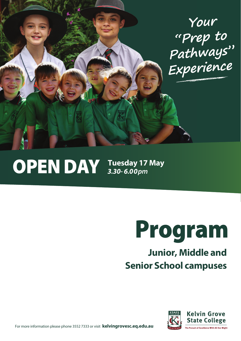

# **Tuesday 17 May OPEN DAY <sup>3</sup>***.***30***-* **6***.***00***pm*

## **Junior, Middle and Senior School campuses Program**<br>**Program**<br>**Program**<br>**Program**<br>**Program**<br>**Program**<br> **Program**<br> **Program**<br> **Program**<br> **Program**

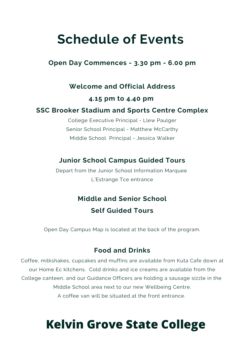## **Schedule of Events**

## **Open Day Commences - 3.30 pm - 6.00 pm**

## **Welcome and Official Address**

### **4.15 pm to 4.40 pm**

## **SSC Brooker Stadium and Sports Centre Complex**

College Executive Principal - Llew Paulger Senior School Principal - Matthew McCarthy Middle School Principal - Jessica Walker

## **Junior School Campus Guided Tours**

Depart from the Junior School Information Marquee L'Estrange Tce entrance

## **Middle and Senior School Self Guided Tours**

Open Day Campus Map is located at the back of the program.

## **Food and Drinks**

Coffee, milkshakes, cupcakes and muffins are available from Kuta Cafe down at our Home Ec kitchens. Cold drinks and ice creams are available from the College canteen, and our Guidance Officers are holding a sausage sizzle in the Middle School area next to our new Wellbeing Centre.

A coffee van will be situated at the front entrance.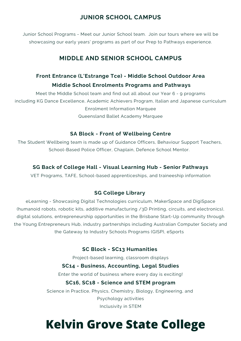### **JUNIOR SCHOOL CAMPUS**

Junior School Programs - Meet our Junior School team. Join our tours where we will be showcasing our early years' programs as part of our Prep to Pathways experience.

## **MIDDLE AND SENIOR SCHOOL CAMPUS**

## **Front Entrance (L'Estrange Tce) - Middle School Outdoor Area Middle School Enrolments Programs and Pathways**

Meet the Middle School team and find out all about our Year 6 - 9 programs including KG Dance Excellence, Academic Achievers Program, Italian and Japanese curriculum Enrolment Information Marquee Queensland Ballet Academy Marquee

### **SA Block - Front of Wellbeing Centre**

The Student Wellbeing team is made up of Guidance Officers, Behaviour Support Teachers, School-Based Police Officer, Chaplain, Defence School Mentor.

### **SG Back of College Hall - Visual Learning Hub - Senior Pathways**

VET Programs, TAFE, School-based apprenticeships, and traineeship information

### **SG College Library**

eLearning - Showcasing Digital Technologies curriculum, MakerSpace and DigiSpace (humanoid robots, robotic kits, additive manufacturing /3D Printing, circuits, and electronics), digital solutions, entrepreneurship opportunities in the Brisbane Start-Up community through the Young Entrepreneurs Hub, industry partnerships including Australian Computer Society and the Gateway to Industry Schools Programs (GISP), eSports

### **SC Block - SC13 Humanities**

Project-based learning, classroom displays

### **SC14 - Business, Accounting, Legal Studies**

Enter the world of business where every day is exciting!

### **SC16, SC18 - Science and STEM program**

Science in Practice, Physics, Chemistry, Biology, Engineering, and Psychology activities Inclusivity in STEM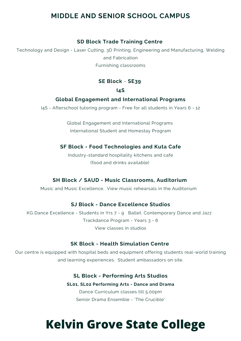## **MIDDLE AND SENIOR SCHOOL CAMPUS**

#### **SD Block Trade Training Centre**

Technology and Design - Laser Cutting, 3D Printing, Engineering and Manufacturing, Welding and Fabrication Furnishing classrooms

#### **SE Block** - **SE39**

#### **I4S**

#### **Global Engagement and International Programs**

I4S - Afterschool tutoring program - Free for all students in Years 6 - 12

Global Engagement and International Programs International Student and Homestay Program

#### **SF Block - Food Technologies and Kuta Cafe**

Industry-standard hospitality kitchens and cafe (food and drinks available)

#### **SH Block / SAUD - Music Classrooms, Auditorium**

Music and Music Excellence. View music rehearsals in the Auditorium

#### **SJ Block - Dance Excellence Studios**

KG Dance Excellence - Students in Yrs 7 - 9 Ballet, Contemporary Dance and Jazz Trackdance Program - Years 3 - 6 View classes in studios

#### **SK Block - Health Simulation Centre**

Our centre is equipped with hospital beds and equipment offering students real-world training and learning experiences. Student ambassadors on site.

#### **SL Block - Performing Arts Studios**

#### **SL01, SL02 Performing Arts - Dance and Drama**

Dance Curriculum classes till 5.00pm Senior Drama Ensemble - 'The Crucible'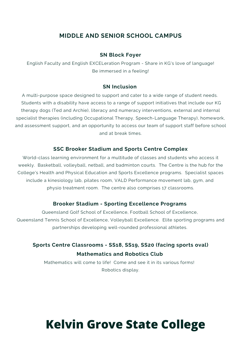### **MIDDLE AND SENIOR SCHOOL CAMPUS**

#### **SN Block Foyer**

English Faculty and English EXCELeration Program - Share in KG's love of language! Be immersed in a feeling!

#### **SN Inclusion**

A multi-purpose space designed to support and cater to a wide range of student needs. Students with a disability have access to a range of support initiatives that include our KG therapy dogs (Ted and Archie), literacy and numeracy interventions, external and internal specialist therapies (including Occupational Therapy, Speech-Language Therapy), homework, and assessment support, and an opportunity to access our team of support staff before school and at break times.

#### **SSC Brooker Stadium and Sports Centre Complex**

World-class learning environment for a multitude of classes and students who access it weekly. Basketball, volleyball, netball, and badminton courts. The Centre is the hub for the College's Health and Physical Education and Sports Excellence programs. Specialist spaces include a kinesiology lab, pilates room, VALD Performance movement lab, gym, and physio treatment room. The centre also comprises 17 classrooms.

#### **Brooker Stadium - Sporting Excellence Programs**

Queensland Golf School of Excellence, Football School of Excellence, Queensland Tennis School of Excellence, Volleyball Excellence. Elite sporting programs and partnerships developing well-rounded professional athletes.

### **Sports Centre Classrooms - SS18, SS19, SS20 (facing sports oval) Mathematics and Robotics Club**

Mathematics will come to life! Come and see it in its various forms! Robotics display.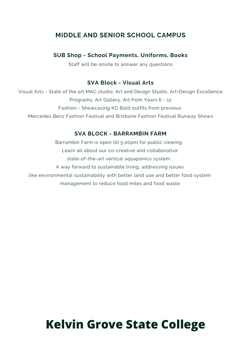## **MIDDLE AND SENIOR SCHOOL CAMPUS**

#### **SUB Shop - School Payments, Uniforms, Books**

Staff will be onsite to answer any questions

#### **SVA Block - Visual Arts**

Visual Arts - State of the art MAC studio, Art and Design Studio, Art+Design Excellence Programs, Art Gallery, Art from Years 6 - 12 Fashion - Showcasing KG Bold outfits from previous Mercedes Benz Fashion Festival and Brisbane Fashion Festival Runway Shows

#### **SVA BLOCK - BARRAMBIN FARM**

Barrambin Farm is open till 5.00pm for public viewing. Learn all about our co-creative and collaborative state-of-the-art vertical aquaponics system. A way forward to sustainable living, addressing issues like environmental sustainability with better land use and better food system management to reduce food miles and food waste.